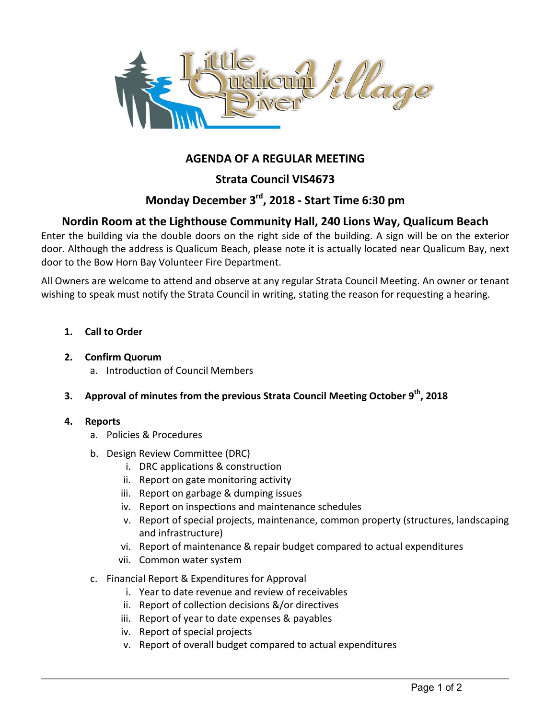

# **AGENDA OF A REGULAR MEETING**

**Strata Council VIS4673** 

# **Monday December 3rd, 2018 - Start Time 6:30 pm**

# **Nordin Room at the Lighthouse Community Hall, 240 Lions Way, Qualicum Beach**

Enter the building via the double doors on the right side of the building. A sign will be on the exterior door. Although the address is Qualicum Beach, please note it is actually located near Qualicum Bay, next door to the Bow Horn Bay Volunteer Fire Department.

All Owners are welcome to attend and observe at any regular Strata Council Meeting. An owner or tenant wishing to speak must notify the Strata Council in writing, stating the reason for requesting a hearing.

**1. Call to Order** 

### **2. Confirm Quorum**

- a. Introduction of Council Members
- **3. Approval of minutes from the previous Strata Council Meeting October 9th, 2018**

#### **4. Reports**

- a. Policies & Procedures
- b. Design Review Committee (DRC)
	- i. DRC applications & construction
	- ii. Report on gate monitoring activity
	- iii. Report on garbage & dumping issues
	- iv. Report on inspections and maintenance schedules
	- v. Report of special projects, maintenance, common property (structures, landscaping and infrastructure)
	- vi. Report of maintenance & repair budget compared to actual expenditures
	- vii. Common water system
- c. Financial Report & Expenditures for Approval
	- i. Year to date revenue and review of receivables
	- ii. Report of collection decisions &/or directives
	- iii. Report of year to date expenses & payables
	- iv. Report of special projects
	- v. Report of overall budget compared to actual expenditures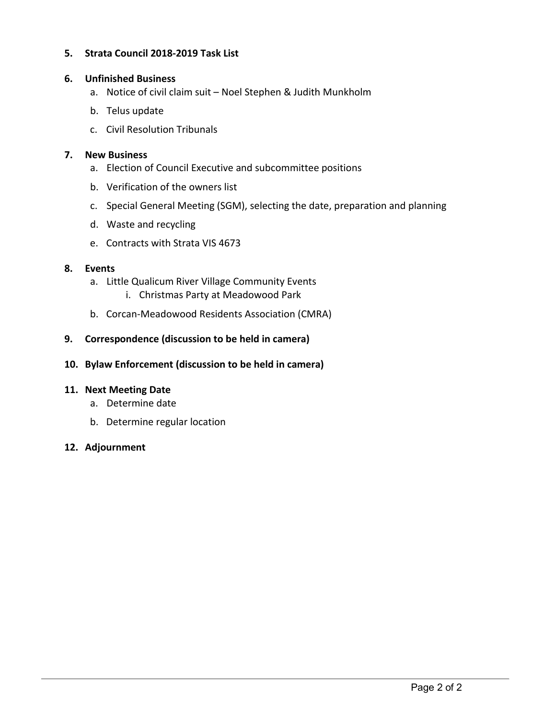### **5. Strata Council 2018-2019 Task List**

#### **6. Unfinished Business**

- a. Notice of civil claim suit Noel Stephen & Judith Munkholm
- b. Telus update
- c. Civil Resolution Tribunals

#### **7. New Business**

- a. Election of Council Executive and subcommittee positions
- b. Verification of the owners list
- c. Special General Meeting (SGM), selecting the date, preparation and planning
- d. Waste and recycling
- e. Contracts with Strata VIS 4673

#### **8. Events**

- a. Little Qualicum River Village Community Events i. Christmas Party at Meadowood Park
- b. Corcan-Meadowood Residents Association (CMRA)

### **9. Correspondence (discussion to be held in camera)**

**10. Bylaw Enforcement (discussion to be held in camera)** 

#### **11. Next Meeting Date**

- a. Determine date
- b. Determine regular location

#### **12. Adjournment**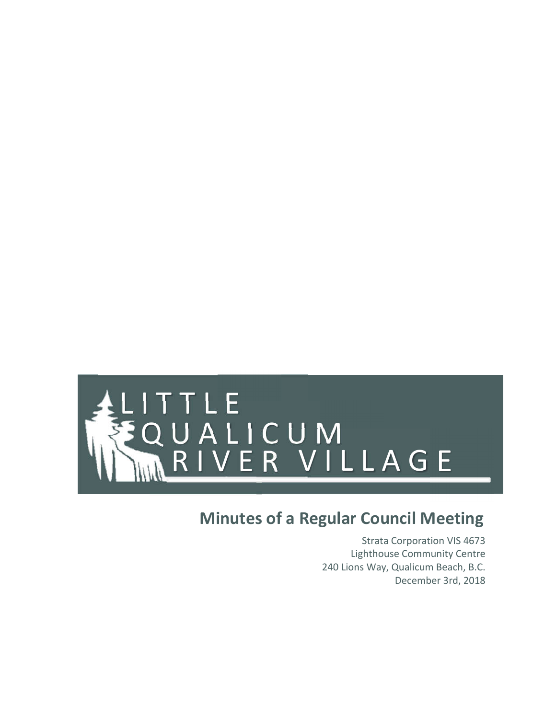

# **Minutes of a Regular Council Meeting**

Strata Corporation VIS 4673 Lighthouse Community Centre 240 Lions Way, Qualicum Beach, B.C. December 3rd, 2018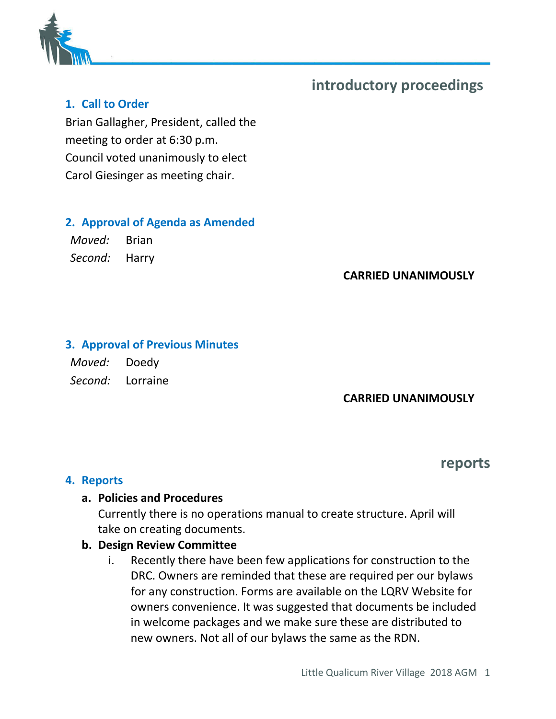

# **introductory proceedings**

# **1. Call to Order**

Brian Gallagher, President, called the meeting to order at 6:30 p.m. Council voted unanimously to elect Carol Giesinger as meeting chair.

# **2. Approval of Agenda as Amended**

*Moved:* Brian *Second:* Harry

# **CARRIED UNANIMOUSLY**

## **3. Approval of Previous Minutes**

*Moved:* Doedy *Second:* Lorraine

# **CARRIED UNANIMOUSLY**

# **reports**

## **4. Reports**

# **a. Policies and Procedures**

Currently there is no operations manual to create structure. April will take on creating documents.

# **b. Design Review Committee**

i. Recently there have been few applications for construction to the DRC. Owners are reminded that these are required per our bylaws for any construction. Forms are available on the LQRV Website for owners convenience. It was suggested that documents be included in welcome packages and we make sure these are distributed to new owners. Not all of our bylaws the same as the RDN.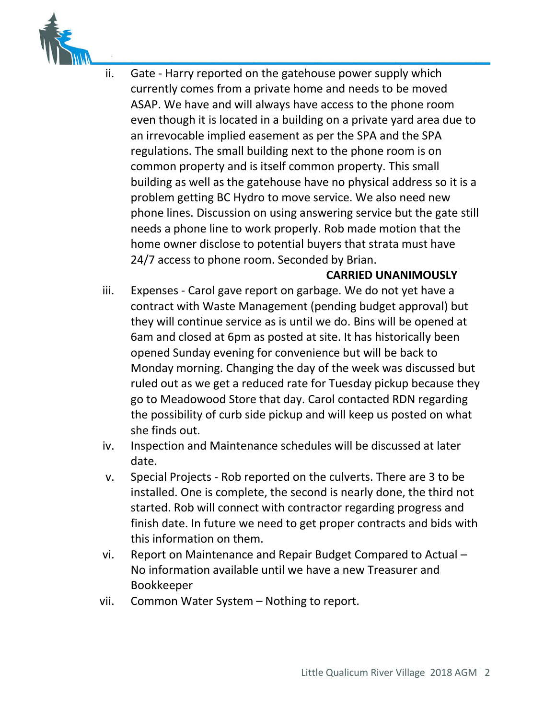

ii. Gate - Harry reported on the gatehouse power supply which currently comes from a private home and needs to be moved ASAP. We have and will always have access to the phone room even though it is located in a building on a private yard area due to an irrevocable implied easement as per the SPA and the SPA regulations. The small building next to the phone room is on common property and is itself common property. This small building as well as the gatehouse have no physical address so it is a problem getting BC Hydro to move service. We also need new phone lines. Discussion on using answering service but the gate still needs a phone line to work properly. Rob made motion that the home owner disclose to potential buyers that strata must have 24/7 access to phone room. Seconded by Brian.

## **CARRIED UNANIMOUSLY**

- iii. Expenses Carol gave report on garbage. We do not yet have a contract with Waste Management (pending budget approval) but they will continue service as is until we do. Bins will be opened at 6am and closed at 6pm as posted at site. It has historically been opened Sunday evening for convenience but will be back to Monday morning. Changing the day of the week was discussed but ruled out as we get a reduced rate for Tuesday pickup because they go to Meadowood Store that day. Carol contacted RDN regarding the possibility of curb side pickup and will keep us posted on what she finds out.
- iv. Inspection and Maintenance schedules will be discussed at later date.
- v. Special Projects Rob reported on the culverts. There are 3 to be installed. One is complete, the second is nearly done, the third not started. Rob will connect with contractor regarding progress and finish date. In future we need to get proper contracts and bids with this information on them.
- vi. Report on Maintenance and Repair Budget Compared to Actual No information available until we have a new Treasurer and Bookkeeper
- vii. Common Water System Nothing to report.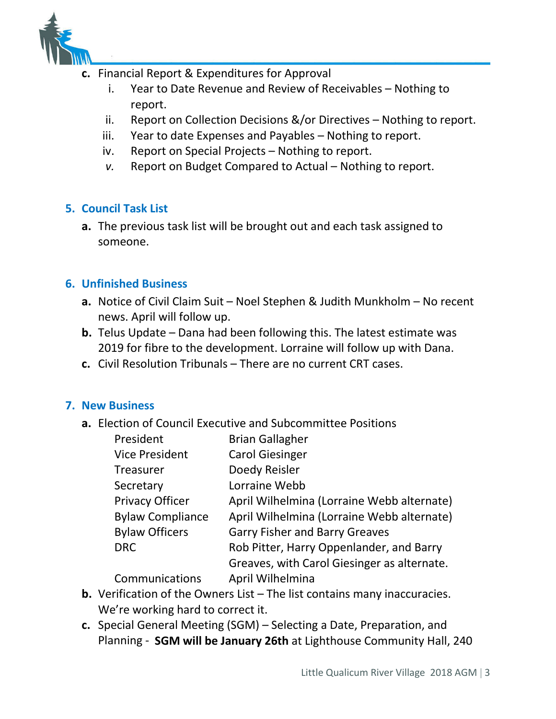

- **c.** Financial Report & Expenditures for Approval
	- i. Year to Date Revenue and Review of Receivables Nothing to report.
	- ii. Report on Collection Decisions &/or Directives Nothing to report.
	- iii. Year to date Expenses and Payables Nothing to report.
	- iv. Report on Special Projects Nothing to report.
	- *v.* Report on Budget Compared to Actual Nothing to report.

# **5. Council Task List**

**a.** The previous task list will be brought out and each task assigned to someone.

# **6. Unfinished Business**

- **a.** Notice of Civil Claim Suit Noel Stephen & Judith Munkholm No recent news. April will follow up.
- **b.** Telus Update Dana had been following this. The latest estimate was 2019 for fibre to the development. Lorraine will follow up with Dana.
- **c.** Civil Resolution Tribunals There are no current CRT cases.

# **7. New Business**

**a.** Election of Council Executive and Subcommittee Positions

| President               | <b>Brian Gallagher</b>                      |
|-------------------------|---------------------------------------------|
| <b>Vice President</b>   | <b>Carol Giesinger</b>                      |
| <b>Treasurer</b>        | Doedy Reisler                               |
| Secretary               | Lorraine Webb                               |
| <b>Privacy Officer</b>  | April Wilhelmina (Lorraine Webb alternate)  |
| <b>Bylaw Compliance</b> | April Wilhelmina (Lorraine Webb alternate)  |
| <b>Bylaw Officers</b>   | <b>Garry Fisher and Barry Greaves</b>       |
| <b>DRC</b>              | Rob Pitter, Harry Oppenlander, and Barry    |
|                         | Greaves, with Carol Giesinger as alternate. |
| Communications          | April Wilhelmina                            |

- **b.** Verification of the Owners List The list contains many inaccuracies. We're working hard to correct it.
- **c.** Special General Meeting (SGM) Selecting a Date, Preparation, and Planning - **SGM will be January 26th** at Lighthouse Community Hall, 240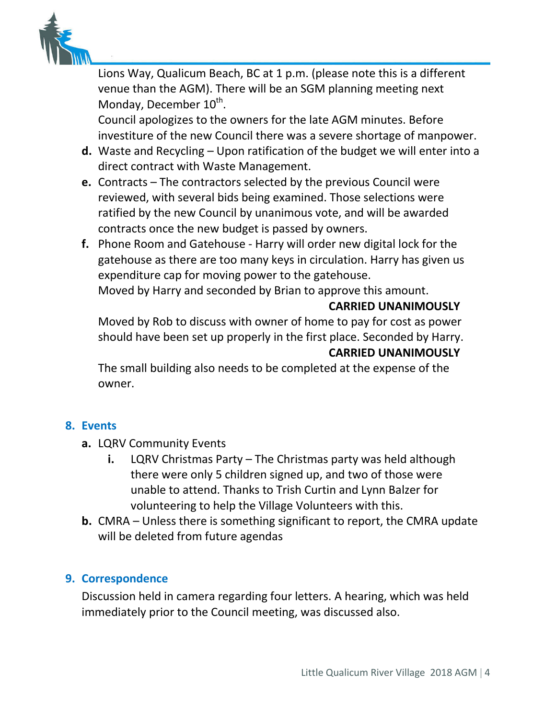

Lions Way, Qualicum Beach, BC at 1 p.m. (please note this is a different venue than the AGM). There will be an SGM planning meeting next Monday, December 10<sup>th</sup>.

Council apologizes to the owners for the late AGM minutes. Before investiture of the new Council there was a severe shortage of manpower.

- **d.** Waste and Recycling Upon ratification of the budget we will enter into a direct contract with Waste Management.
- **e.** Contracts The contractors selected by the previous Council were reviewed, with several bids being examined. Those selections were ratified by the new Council by unanimous vote, and will be awarded contracts once the new budget is passed by owners.
- **f.** Phone Room and Gatehouse Harry will order new digital lock for the gatehouse as there are too many keys in circulation. Harry has given us expenditure cap for moving power to the gatehouse.

Moved by Harry and seconded by Brian to approve this amount.

## **CARRIED UNANIMOUSLY**

Moved by Rob to discuss with owner of home to pay for cost as power should have been set up properly in the first place. Seconded by Harry.

## **CARRIED UNANIMOUSLY**

The small building also needs to be completed at the expense of the owner.

# **8. Events**

- **a.** LQRV Community Events
	- **i.** LQRV Christmas Party The Christmas party was held although there were only 5 children signed up, and two of those were unable to attend. Thanks to Trish Curtin and Lynn Balzer for volunteering to help the Village Volunteers with this.
- **b.** CMRA Unless there is something significant to report, the CMRA update will be deleted from future agendas

# **9. Correspondence**

Discussion held in camera regarding four letters. A hearing, which was held immediately prior to the Council meeting, was discussed also.